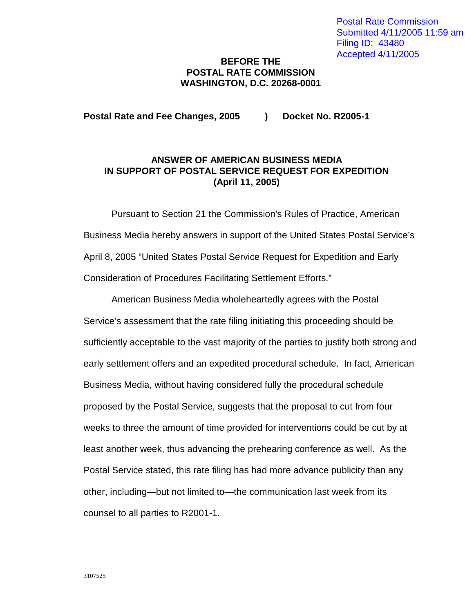## **BEFORE THE POSTAL RATE COMMISSION WASHINGTON, D.C. 20268-0001**

## **Postal Rate and Fee Changes, 2005 ) Docket No. R2005-1**

## **ANSWER OF AMERICAN BUSINESS MEDIA IN SUPPORT OF POSTAL SERVICE REQUEST FOR EXPEDITION (April 11, 2005)**

Pursuant to Section 21 the Commission's Rules of Practice, American Business Media hereby answers in support of the United States Postal Service's April 8, 2005 "United States Postal Service Request for Expedition and Early Consideration of Procedures Facilitating Settlement Efforts."

American Business Media wholeheartedly agrees with the Postal Service's assessment that the rate filing initiating this proceeding should be sufficiently acceptable to the vast majority of the parties to justify both strong and early settlement offers and an expedited procedural schedule. In fact, American Business Media, without having considered fully the procedural schedule proposed by the Postal Service, suggests that the proposal to cut from four weeks to three the amount of time provided for interventions could be cut by at least another week, thus advancing the prehearing conference as well. As the Postal Service stated, this rate filing has had more advance publicity than any other, including—but not limited to—the communication last week from its counsel to all parties to R2001-1.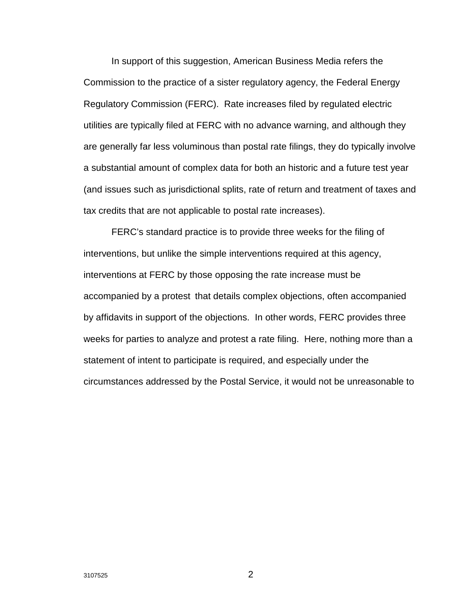In support of this suggestion, American Business Media refers the Commission to the practice of a sister regulatory agency, the Federal Energy Regulatory Commission (FERC). Rate increases filed by regulated electric utilities are typically filed at FERC with no advance warning, and although they are generally far less voluminous than postal rate filings, they do typically involve a substantial amount of complex data for both an historic and a future test year (and issues such as jurisdictional splits, rate of return and treatment of taxes and tax credits that are not applicable to postal rate increases).

FERC's standard practice is to provide three weeks for the filing of interventions, but unlike the simple interventions required at this agency, interventions at FERC by those opposing the rate increase must be accompanied by a protest that details complex objections, often accompanied by affidavits in support of the objections. In other words, FERC provides three weeks for parties to analyze and protest a rate filing. Here, nothing more than a statement of intent to participate is required, and especially under the circumstances addressed by the Postal Service, it would not be unreasonable to